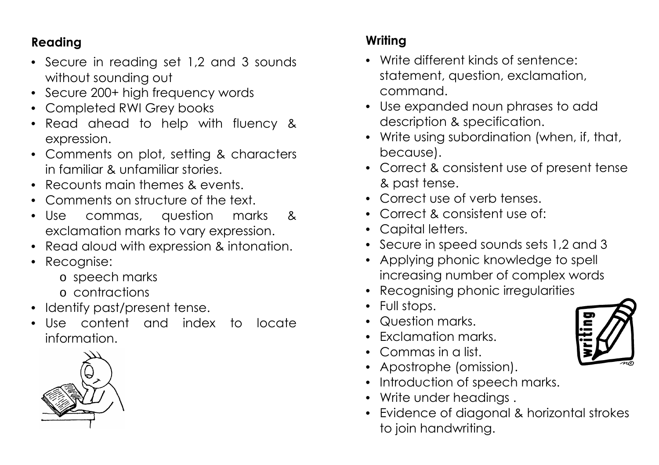## **Reading**

- Secure in reading set 1,2 and 3 sounds without sounding out
- Secure 200+ high frequency words
- Completed RWI Grey books
- Read ahead to help with fluency & expression.
- Comments on plot, setting & characters in familiar & unfamiliar stories.
- Recounts main themes & events.
- Comments on structure of the text.
- Use commas, question marks & exclamation marks to vary expression.
- Read aloud with expression & intonation.
- Recognise:
	- o speech marks
	- o contractions
- Identify past/present tense.
- Use content and index to locate information.



## **Writing**

- Write different kinds of sentence: statement, question, exclamation, command.
- Use expanded noun phrases to add description & specification.
- Write using subordination (when, if, that, because).
- Correct & consistent use of present tense & past tense.
- Correct use of verb tenses.
- Correct & consistent use of:
- Capital letters.
- Secure in speed sounds sets 1,2 and 3
- Applying phonic knowledge to spell increasing number of complex words
- Recognising phonic irregularities
- Full stops.
- Question marks.
- Exclamation marks.
- Commas in a list.
- Apostrophe (omission).
- Introduction of speech marks.
- Write under headings.
- Evidence of diagonal & horizontal strokes to join handwriting.